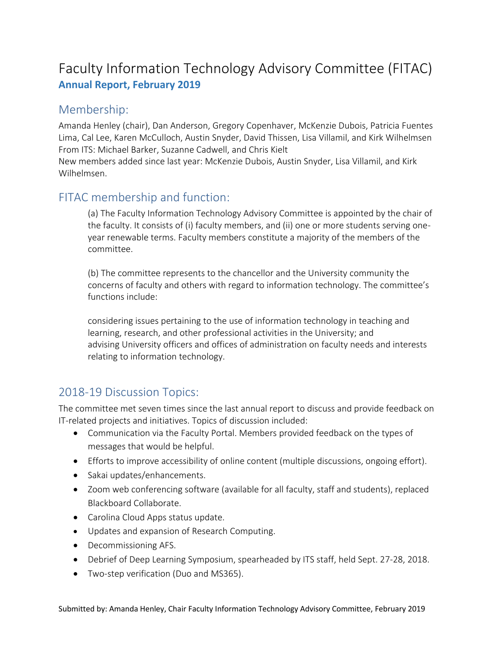## Faculty Information Technology Advisory Committee (FITAC) **Annual Report, February 2019**

## Membership:

Amanda Henley (chair), Dan Anderson, Gregory Copenhaver, McKenzie Dubois, Patricia Fuentes Lima, Cal Lee, Karen McCulloch, Austin Snyder, David Thissen, Lisa Villamil, and Kirk Wilhelmsen From ITS: Michael Barker, Suzanne Cadwell, and Chris Kielt

New members added since last year: McKenzie Dubois, Austin Snyder, Lisa Villamil, and Kirk Wilhelmsen.

## FITAC membership and function:

(a) The Faculty Information Technology Advisory Committee is appointed by the chair of the faculty. It consists of (i) faculty members, and (ii) one or more students serving oneyear renewable terms. Faculty members constitute a majority of the members of the committee.

(b) The committee represents to the chancellor and the University community the concerns of faculty and others with regard to information technology. The committee's functions include:

considering issues pertaining to the use of information technology in teaching and learning, research, and other professional activities in the University; and advising University officers and offices of administration on faculty needs and interests relating to information technology.

## 2018-19 Discussion Topics:

The committee met seven times since the last annual report to discuss and provide feedback on IT-related projects and initiatives. Topics of discussion included:

- Communication via the Faculty Portal. Members provided feedback on the types of messages that would be helpful.
- Efforts to improve accessibility of online content (multiple discussions, ongoing effort).
- Sakai updates/enhancements.
- Zoom web conferencing software (available for all faculty, staff and students), replaced Blackboard Collaborate.
- Carolina Cloud Apps status update.
- Updates and expansion of Research Computing.
- Decommissioning AFS.
- Debrief of Deep Learning Symposium, spearheaded by ITS staff, held Sept. 27-28, 2018.
- Two-step verification (Duo and MS365).